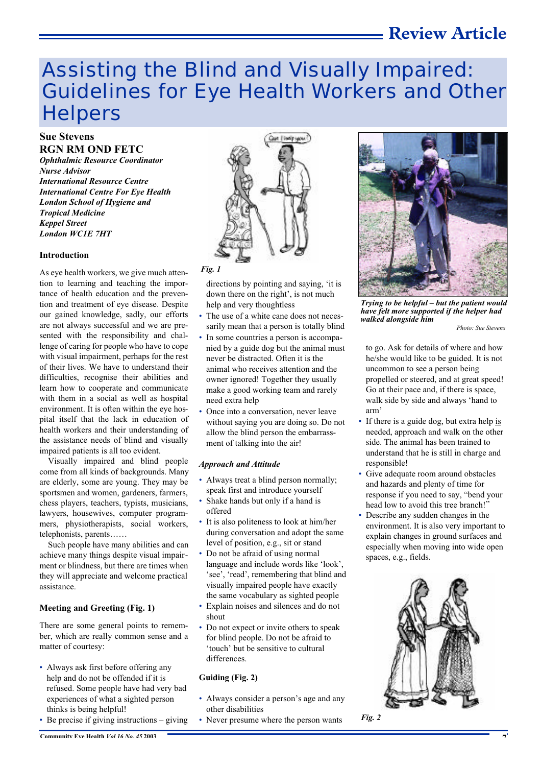# **Review Article**

# Assisting the Blind and Visually Impaired: Guidelines for Eye Health Workers and Other **Helpers**

## **Sue Stevens RGN RM OND FETC**

*Ophthalmic Resource Coordinator Nurse Advisor International Resource Centre International Centre For Eye Health London School of Hygiene and Tropical Medicine Keppel Street London WC1E 7HT*

#### **Introduction**

As eye health workers, we give much attention to learning and teaching the importance of health education and the prevention and treatment of eye disease. Despite our gained knowledge, sadly, our efforts are not always successful and we are presented with the responsibility and challenge of caring for people who have to cope with visual impairment, perhaps for the rest of their lives. We have to understand their difficulties, recognise their abilities and learn how to cooperate and communicate with them in a social as well as hospital environment. It is often within the eye hospital itself that the lack in education of health workers and their understanding of the assistance needs of blind and visually impaired patients is all too evident.

Visually impaired and blind people come from all kinds of backgrounds. Many are elderly, some are young. They may be sportsmen and women, gardeners, farmers, chess players, teachers, typists, musicians, lawyers, housewives, computer programmers, physiotherapists, social workers, telephonists, parents……

Such people have many abilities and can achieve many things despite visual impairment or blindness, but there are times when they will appreciate and welcome practical assistance.

#### **Meeting and Greeting (Fig. 1)**

There are some general points to remember, which are really common sense and a matter of courtesy:

- Always ask first before offering any help and do not be offended if it is refused. Some people have had very bad experiences of what a sighted person thinks is being helpful!
- Be precise if giving instructions giving



directions by pointing and saying, 'it is down there on the right', is not much help and very thoughtless

- The use of a white cane does not necessarily mean that a person is totally blind
- In some countries a person is accompanied by a guide dog but the animal must never be distracted. Often it is the animal who receives attention and the owner ignored! Together they usually make a good working team and rarely need extra help
- Once into a conversation, never leave without saying you are doing so. Do not allow the blind person the embarrassment of talking into the air!

#### *Approach and Attitude*

- Always treat a blind person normally; speak first and introduce yourself
- Shake hands but only if a hand is offered
- It is also politeness to look at him/her during conversation and adopt the same level of position, e.g., sit or stand
- Do not be afraid of using normal language and include words like 'look', 'see', 'read', remembering that blind and visually impaired people have exactly the same vocabulary as sighted people
- Explain noises and silences and do not shout
- Do not expect or invite others to speak for blind people. Do not be afraid to 'touch' but be sensitive to cultural differences.

#### **Guiding (Fig. 2)**

- Always consider a person's age and any other disabilities
- Never presume where the person wants



*Trying to be helpful – but the patient would have felt more supported if the helper had walked alongside him*

*Photo: Sue Stevens*

to go. Ask for details of where and how he/she would like to be guided. It is not uncommon to see a person being propelled or steered, and at great speed! Go at their pace and, if there is space, walk side by side and always 'hand to arm'

- If there is a guide dog, but extra help is needed, approach and walk on the other side. The animal has been trained to understand that he is still in charge and responsible!
- Give adequate room around obstacles and hazards and plenty of time for response if you need to say, "bend your head low to avoid this tree branch!"
- Describe any sudden changes in the environment. It is also very important to explain changes in ground surfaces and especially when moving into wide open spaces, e.g., fields.



*Fig. 2*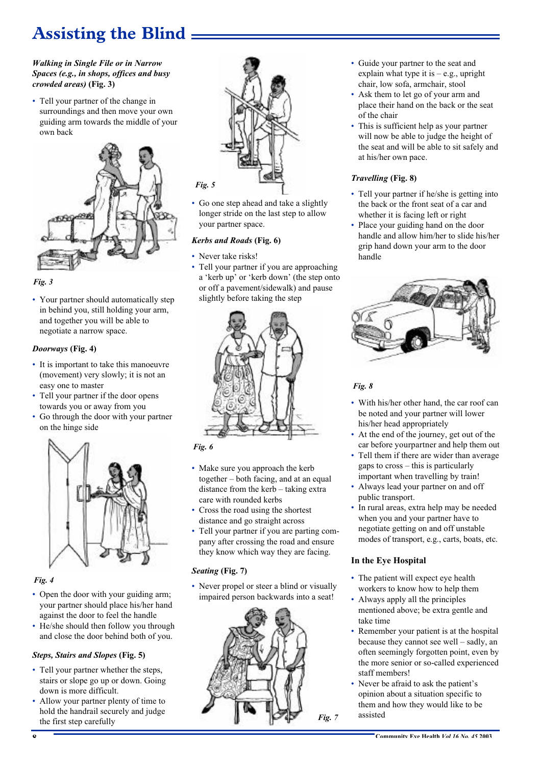# **Assisting the Blind**

#### *Walking in Single File or in Narrow Spaces (e.g., in shops, offices and busy crowded areas)* **(Fig. 3)**

• Tell your partner of the change in surroundings and then move your own guiding arm towards the middle of your own back



## *Fig. 3*

• Your partner should automatically step in behind you, still holding your arm, and together you will be able to negotiate a narrow space.

## *Doorways* **(Fig. 4)**

- It is important to take this manoeuvre (movement) very slowly; it is not an easy one to master
- Tell your partner if the door opens towards you or away from you
- Go through the door with your partner on the hinge side



# *Fig. 4*

- Open the door with your guiding arm; your partner should place his/her hand against the door to feel the handle
- He/she should then follow you through and close the door behind both of you.

## *Steps, Stairs and Slopes* **(Fig. 5)**

- Tell your partner whether the steps, stairs or slope go up or down. Going down is more difficult.
- Allow your partner plenty of time to hold the handrail securely and judge the first step carefully



• Go one step ahead and take a slightly longer stride on the last step to allow your partner space.

## *Kerbs and Roads* **(Fig. 6)**

- Never take risks!
- Tell your partner if you are approaching a 'kerb up' or 'kerb down' (the step onto or off a pavement/sidewalk) and pause slightly before taking the step



## *Fig. 6*

- Make sure you approach the kerb together – both facing, and at an equal distance from the kerb – taking extra care with rounded kerbs
- Cross the road using the shortest distance and go straight across
- Tell your partner if you are parting company after crossing the road and ensure they know which way they are facing.

# *Seating* **(Fig. 7)**

• Never propel or steer a blind or visually impaired person backwards into a seat!



- Guide your partner to the seat and explain what type it is  $-$  e.g., upright chair, low sofa, armchair, stool
- Ask them to let go of your arm and place their hand on the back or the seat of the chair
- This is sufficient help as your partner will now be able to judge the height of the seat and will be able to sit safely and at his/her own pace.

## *Travelling* **(Fig. 8)**

- Tell your partner if he/she is getting into the back or the front seat of a car and whether it is facing left or right
- Place your guiding hand on the door handle and allow him/her to slide his/her grip hand down your arm to the door handle



# *Fig. 8*

- With his/her other hand, the car roof can be noted and your partner will lower his/her head appropriately
- At the end of the journey, get out of the car before yourpartner and help them out
- Tell them if there are wider than average gaps to cross – this is particularly important when travelling by train!
- Always lead your partner on and off public transport.
- In rural areas, extra help may be needed when you and your partner have to negotiate getting on and off unstable modes of transport, e.g., carts, boats, etc.

# **In the Eye Hospital**

- The patient will expect eye health workers to know how to help them
- Always apply all the principles mentioned above; be extra gentle and take time
- Remember your patient is at the hospital because they cannot see well – sadly, an often seemingly forgotten point, even by the more senior or so-called experienced staff members!
- Never be afraid to ask the patient's opinion about a situation specific to them and how they would like to be assisted